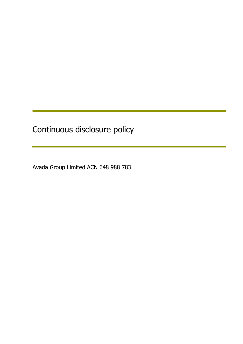Continuous disclosure policy

Avada Group Limited ACN 648 988 783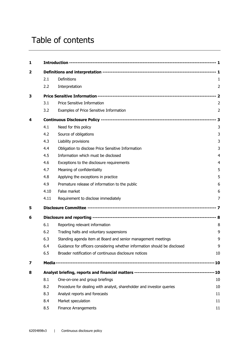# Table of contents

| 1 |      |                                                                           |                |  |
|---|------|---------------------------------------------------------------------------|----------------|--|
| 2 |      |                                                                           |                |  |
|   | 2.1  | Definitions                                                               | 1              |  |
|   | 2.2  | Interpretation                                                            | 2              |  |
| 3 |      |                                                                           |                |  |
|   | 3.1  | Price Sensitive Information                                               | 2              |  |
|   | 3.2  | Examples of Price Sensitive Information                                   | $\overline{2}$ |  |
| 4 |      |                                                                           |                |  |
|   | 4.1  | Need for this policy                                                      | 3              |  |
|   | 4.2  | Source of obligations                                                     | 3              |  |
|   | 4.3  | Liability provisions                                                      | 3              |  |
|   | 4.4  | Obligation to disclose Price Sensitive Information                        | 3              |  |
|   | 4.5  | Information which must be disclosed                                       | $\overline{4}$ |  |
|   | 4.6  | Exceptions to the disclosure requirements                                 | 4              |  |
|   | 4.7  | Meaning of confidentiality                                                | 5              |  |
|   | 4.8  | Applying the exceptions in practice                                       | 5              |  |
|   | 4.9  | Premature release of information to the public                            | 6              |  |
|   | 4.10 | False market                                                              | 6              |  |
|   | 4.11 | Requirement to disclose immediately                                       | 7              |  |
| 5 |      |                                                                           |                |  |
| 6 |      |                                                                           |                |  |
|   | 6.1  | Reporting relevant information                                            | 8              |  |
|   | 6.2  | Trading halts and voluntary suspensions                                   | 9              |  |
|   | 6.3  | Standing agenda item at Board and senior management meetings              | 9              |  |
|   | 6.4  | Guidance for officers considering whether information should be disclosed | 9              |  |
|   | 6.5  | Broader notification of continuous disclosure notices                     | 10             |  |
| 7 |      |                                                                           |                |  |
| 8 |      |                                                                           |                |  |
|   | 8.1  | One-on-one and group briefings                                            | 10             |  |
|   | 8.2  | Procedure for dealing with analyst, shareholder and investor queries      | 10             |  |
|   | 8.3  | Analyst reports and forecasts                                             | 11             |  |
|   | 8.4  | Market speculation                                                        | 11             |  |
|   | 8.5  | <b>Finance Arrangements</b>                                               | 11             |  |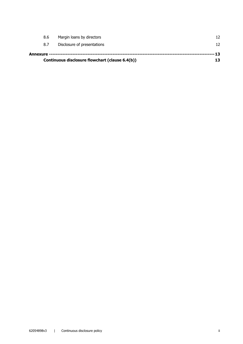| Continuous disclosure flowchart (clause 6.4(b)) |     |                             |    |  |  |
|-------------------------------------------------|-----|-----------------------------|----|--|--|
| --- 13                                          |     |                             |    |  |  |
|                                                 | 8.7 | Disclosure of presentations | 12 |  |  |
|                                                 | 8.6 | Margin loans by directors   | 12 |  |  |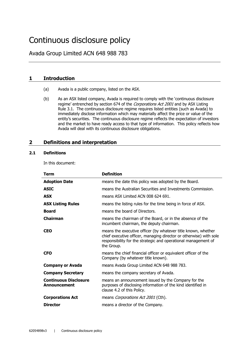# Continuous disclosure policy

Avada Group Limited ACN 648 988 783

# **1 Introduction**

- (a) Avada is a public company, listed on the ASX.
- (b) As an ASX listed company, Avada is required to comply with the 'continuous disclosure regime' entrenched by section 674 of the Corporations Act 2001 and by ASX Listing Rule 3.1. The continuous disclosure regime requires listed entities (such as Avada) to immediately disclose information which may materially affect the price or value of the entity's securities. The continuous disclosure regime reflects the expectation of investors and the market to have ready access to that type of information. This policy reflects how Avada will deal with its continuous disclosure obligations.

# **2 Definitions and interpretation**

#### **2.1 Definitions**

In this document:

| Term                                         | <b>Definition</b>                                                                                                                                                                                                   |
|----------------------------------------------|---------------------------------------------------------------------------------------------------------------------------------------------------------------------------------------------------------------------|
| <b>Adoption Date</b>                         | means the date this policy was adopted by the Board.                                                                                                                                                                |
| <b>ASIC</b>                                  | means the Australian Securities and Investments Commission.                                                                                                                                                         |
| <b>ASX</b>                                   | means ASX Limited ACN 008 624 691.                                                                                                                                                                                  |
| <b>ASX Listing Rules</b>                     | means the listing rules for the time being in force of ASX.                                                                                                                                                         |
| <b>Board</b>                                 | means the board of Directors.                                                                                                                                                                                       |
| <b>Chairman</b>                              | means the chairman of the Board, or in the absence of the<br>incumbent chairman, the deputy chairman.                                                                                                               |
| <b>CEO</b>                                   | means the executive officer (by whatever title known, whether<br>chief executive officer, managing director or otherwise) with sole<br>responsibility for the strategic and operational management of<br>the Group. |
| <b>CFO</b>                                   | means the chief financial officer or equivalent officer of the<br>Company (by whatever title known).                                                                                                                |
| <b>Company or Avada</b>                      | means Avada Group Limited ACN 648 988 783.                                                                                                                                                                          |
| <b>Company Secretary</b>                     | means the company secretary of Avada.                                                                                                                                                                               |
| <b>Continuous Disclosure</b><br>Announcement | means an announcement issued by the Company for the<br>purposes of disclosing information of the kind identified in<br>clause 4.2 of this Policy.                                                                   |
| <b>Corporations Act</b>                      | means <i>Corporations Act 2001</i> (Cth).                                                                                                                                                                           |
| <b>Director</b>                              | means a director of the Company.                                                                                                                                                                                    |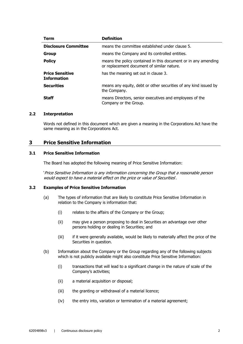| Term                                         | <b>Definition</b>                                                                                            |
|----------------------------------------------|--------------------------------------------------------------------------------------------------------------|
| <b>Disclosure Committee</b>                  | means the committee established under clause 5.                                                              |
| <b>Group</b>                                 | means the Company and its controlled entities.                                                               |
| <b>Policy</b>                                | means the policy contained in this document or in any amending<br>or replacement document of similar nature. |
| <b>Price Sensitive</b><br><b>Information</b> | has the meaning set out in clause 3.                                                                         |
| <b>Securities</b>                            | means any equity, debt or other securities of any kind issued by<br>the Company.                             |
| <b>Staff</b>                                 | means Directors, senior executives and employees of the<br>Company or the Group.                             |

#### **2.2 Interpretation**

Words not defined in this document which are given a meaning in the Corporations Act have the same meaning as in the Corporations Act.

### **3 Price Sensitive Information**

#### **3.1 Price Sensitive Information**

The Board has adopted the following meaning of Price Sensitive Information:

'Price Sensitive Information is any information concerning the Group that a reasonable person would expect to have a material effect on the price or value of Securities'.

#### **3.2 Examples of Price Sensitive Information**

- (a) The types of information that are likely to constitute Price Sensitive Information in relation to the Company is information that:
	- (i) relates to the affairs of the Company or the Group;
	- (ii) may give a person proposing to deal in Securities an advantage over other persons holding or dealing in Securities; and
	- (iii) if it were generally available, would be likely to materially affect the price of the Securities in question.
- (b) Information about the Company or the Group regarding any of the following subjects which is not publicly available might also constitute Price Sensitive Information:
	- (i) transactions that will lead to a significant change in the nature of scale of the Company's activities;
	- (ii) a material acquisition or disposal;
	- (iii) the granting or withdrawal of a material licence;
	- (iv) the entry into, variation or termination of a material agreement;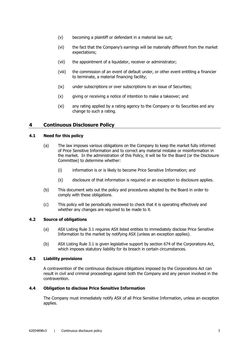- (v) becoming a plaintiff or defendant in a material law suit;
- (vi) the fact that the Company's earnings will be materially different from the market expectations;
- (vii) the appointment of a liquidator, receiver or administrator;
- (viii) the commission of an event of default under, or other event entitling a financier to terminate, a material financing facility;
- (ix) under subscriptions or over subscriptions to an issue of Securities;
- (x) giving or receiving a notice of intention to make a takeover; and
- (xi) any rating applied by a rating agency to the Company or its Securities and any change to such a rating.

# **4 Continuous Disclosure Policy**

#### **4.1 Need for this policy**

- (a) The law imposes various obligations on the Company to keep the market fully informed of Price Sensitive Information and to correct any material mistake or misinformation in the market. In the administration of this Policy, it will be for the Board (or the Disclosure Committee) to determine whether:
	- (i) information is or is likely to become Price Sensitive Information; and
	- (ii) disclosure of that information is required or an exception to disclosure applies.
- (b) This document sets out the policy and procedures adopted by the Board in order to comply with these obligations.
- (c) This policy will be periodically reviewed to check that it is operating effectively and whether any changes are required to be made to it.

#### **4.2 Source of obligations**

- (a) ASX Listing Rule 3.1 requires ASX listed entities to immediately disclose Price Sensitive Information to the market by notifying ASX (unless an exception applies).
- (b) ASX Listing Rule 3.1 is given legislative support by section 674 of the Corporations Act, which imposes statutory liability for its breach in certain circumstances.

#### **4.3 Liability provisions**

A contravention of the continuous disclosure obligations imposed by the Corporations Act can result in civil and criminal proceedings against both the Company and any person involved in the contravention.

#### **4.4 Obligation to disclose Price Sensitive Information**

The Company must immediately notify ASX of all Price Sensitive Information, unless an exception applies.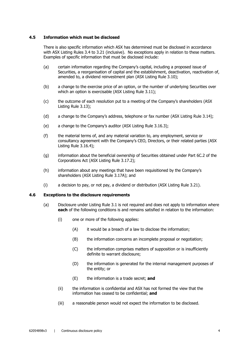#### **4.5 Information which must be disclosed**

There is also specific information which ASX has determined must be disclosed in accordance with ASX Listing Rules 3.4 to 3.21 (inclusive). No exceptions apply in relation to these matters. Examples of specific information that must be disclosed include:

- (a) certain information regarding the Company's capital, including a proposed issue of Securities, a reorganisation of capital and the establishment, deactivation, reactivation of, amended to, a dividend reinvestment plan (ASX Listing Rule 3.10);
- (b) a change to the exercise price of an option, or the number of underlying Securities over which an option is exercisable (ASX Listing Rule 3.11);
- (c) the outcome of each resolution put to a meeting of the Company's shareholders (ASX Listing Rule 3.13);
- (d) a change to the Company's address, telephone or fax number (ASX Listing Rule 3.14);
- (e) a change to the Company's auditor (ASX Listing Rule 3.16.3);
- (f) the material terms of, and any material variation to, any employment, service or consultancy agreement with the Company's CEO, Directors, or their related parties (ASX Listing Rule 3.16.4);
- (g) information about the beneficial ownership of Securities obtained under Part 6C.2 of the Corporations Act (ASX Listing Rule 3.17.2);
- (h) information about any meetings that have been requisitioned by the Company's shareholders (ASX Listing Rule 3.17A); and
- (i) a decision to pay, or not pay, a dividend or distribution (ASX Listing Rule 3.21).

#### **4.6 Exceptions to the disclosure requirements**

- (a) Disclosure under Listing Rule 3.1 is not required and does not apply to information where **each** of the following conditions is and remains satisfied in relation to the information:
	- (i) one or more of the following applies:
		- (A) it would be a breach of a law to disclose the information;
		- (B) the information concerns an incomplete proposal or negotiation;
		- (C) the information comprises matters of supposition or is insufficiently definite to warrant disclosure;
		- (D) the information is generated for the internal management purposes of the entity; or
		- (E) the information is a trade secret; **and**
	- (ii) the information is confidential and ASX has not formed the view that the information has ceased to be confidential; **and**
	- (iii) a reasonable person would not expect the information to be disclosed.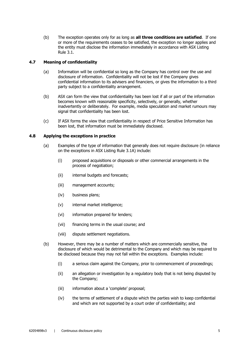(b) The exception operates only for as long as **all three conditions are satisfied**. If one or more of the requirements ceases to be satisfied, the exception no longer applies and the entity must disclose the information immediately in accordance with ASX Listing Rule 3.1.

#### **4.7 Meaning of confidentiality**

- (a) Information will be confidential so long as the Company has control over the use and disclosure of information. Confidentiality will not be lost if the Company gives confidential information to its advisers and financiers, or gives the information to a third party subject to a confidentiality arrangement.
- (b) ASX can form the view that confidentiality has been lost if all or part of the information becomes known with reasonable specificity, selectively, or generally, whether inadvertently or deliberately. For example, media speculation and market rumours may signal that confidentiality has been lost.
- (c) If ASX forms the view that confidentiality in respect of Price Sensitive Information has been lost, that information must be immediately disclosed.

#### **4.8 Applying the exceptions in practice**

- (a) Examples of the type of information that generally does not require disclosure (in reliance on the exceptions in ASX Listing Rule 3.1A) include:
	- (i) proposed acquisitions or disposals or other commercial arrangements in the process of negotiation;
	- (ii) internal budgets and forecasts;
	- (iii) management accounts;
	- (iv) business plans;
	- (v) internal market intelligence;
	- (vi) information prepared for lenders;
	- (vii) financing terms in the usual course; and
	- (viii) dispute settlement negotiations.
- (b) However, there may be a number of matters which are commercially sensitive, the disclosure of which would be detrimental to the Company and which may be required to be disclosed because they may not fall within the exceptions. Examples include:
	- (i) a serious claim against the Company, prior to commencement of proceedings;
	- (ii) an allegation or investigation by a regulatory body that is not being disputed by the Company;
	- (iii) information about a 'complete' proposal;
	- (iv) the terms of settlement of a dispute which the parties wish to keep confidential and which are not supported by a court order of confidentiality; and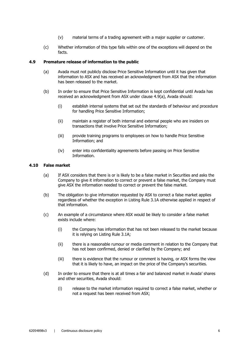- (v) material terms of a trading agreement with a major supplier or customer.
- (c) Whether information of this type falls within one of the exceptions will depend on the facts.

#### **4.9 Premature release of information to the public**

- (a) Avada must not publicly disclose Price Sensitive Information until it has given that information to ASX and has received an acknowledgment from ASX that the information has been released to the market.
- (b) In order to ensure that Price Sensitive Information is kept confidential until Avada has received an acknowledgment from ASX under clause 4.9(a), Avada should:
	- (i) establish internal systems that set out the standards of behaviour and procedure for handling Price Sensitive Information;
	- (ii) maintain a register of both internal and external people who are insiders on transactions that involve Price Sensitive Information;
	- (iii) provide training programs to employees on how to handle Price Sensitive Information; and
	- (iv) enter into confidentiality agreements before passing on Price Sensitive Information.

#### **4.10 False market**

- (a) If ASX considers that there is or is likely to be a false market in Securities and asks the Company to give it information to correct or prevent a false market, the Company must give ASX the information needed to correct or prevent the false market.
- (b) The obligation to give information requested by ASX to correct a false market applies regardless of whether the exception in Listing Rule 3.1A otherwise applied in respect of that information.
- (c) An example of a circumstance where ASX would be likely to consider a false market exists include where:
	- (i) the Company has information that has not been released to the market because it is relying on Listing Rule 3.1A;
	- (ii) there is a reasonable rumour or media comment in relation to the Company that has not been confirmed, denied or clarified by the Company; and
	- (iii) there is evidence that the rumour or comment is having, or ASX forms the view that it is likely to have, an impact on the price of the Company's securities.
- (d) In order to ensure that there is at all times a fair and balanced market in Avada' shares and other securities, Avada should:
	- (i) release to the market information required to correct a false market, whether or not a request has been received from ASX;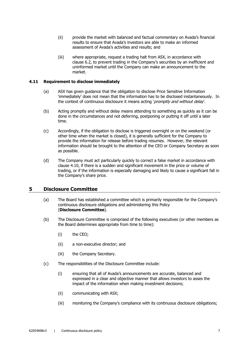- (ii) provide the market with balanced and factual commentary on Avada's financial results to ensure that Avada's investors are able to make an informed assessment of Avada's activities and results; and
- (iii) where appropriate, request a trading halt from ASX, in accordance with clause 6.2, to prevent trading in the Company's securities by an inefficient and uninformed market until the Company can make an announcement to the market.

#### **4.11 Requirement to disclose immediately**

- (a) ASX has given guidance that the obligation to disclose Price Sensitive Information 'immediately' does not mean that the information has to be disclosed instantaneously. In the context of continuous disclosure it means acting 'promptly and without delay'.
- (b) Acting promptly and without delay means attending to something as quickly as it can be done in the circumstances and not deferring, postponing or putting it off until a later time.
- (c) Accordingly, if the obligation to disclose is triggered overnight or on the weekend (or other time when the market is closed), it is generally sufficient for the Company to provide the information for release before trading resumes. However, the relevant information should be brought to the attention of the CEO or Company Secretary as soon as possible.
- (d) The Company must act particularly quickly to correct a false market in accordance with clause 4.10, if there is a sudden and significant movement in the price or volume of trading, or if the information is especially damaging and likely to cause a significant fall in the Company's share price.

# **5 Disclosure Committee**

- (a) The Board has established a committee which is primarily responsible for the Company's continuous disclosure obligations and administering this Policy (**Disclosure Committee**).
- (b) The Disclosure Committee is comprised of the following executives (or other members as the Board determines appropriate from time to time):
	- (i) the CEO;
	- (ii) a non-executive director; and
	- (iii) the Company Secretary.
- (c) The responsibilities of the Disclosure Committee include:
	- (i) ensuring that all of Avada's announcements are accurate, balanced and expressed in a clear and objective manner that allows investors to asses the impact of the information when making investment decisions;
	- (ii) communicating with ASX;
	- (iii) monitoring the Company's compliance with its continuous disclosure obligations;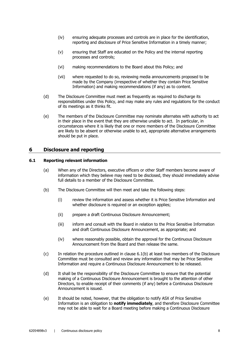- (iv) ensuring adequate processes and controls are in place for the identification, reporting and disclosure of Price Sensitive Information in a timely manner;
- (v) ensuring that Staff are educated on the Policy and the internal reporting processes and controls;
- (vi) making recommendations to the Board about this Policy; and
- (vii) where requested to do so, reviewing media announcements proposed to be made by the Company (irrespective of whether they contain Price Sensitive Information) and making recommendations (if any) as to content.
- (d) The Disclosure Committee must meet as frequently as required to discharge its responsibilities under this Policy, and may make any rules and regulations for the conduct of its meetings as it thinks fit.
- (e) The members of the Disclosure Committee may nominate alternates with authority to act in their place in the event that they are otherwise unable to act. In particular, in circumstances where it is likely that one or more members of the Disclosure Committee are likely to be absent or otherwise unable to act, appropriate alternative arrangements should be put in place.

# **6 Disclosure and reporting**

#### **6.1 Reporting relevant information**

- (a) When any of the Directors, executive officers or other Staff members become aware of information which they believe may need to be disclosed, they should immediately advise full details to a member of the Disclosure Committee.
- (b) The Disclosure Committee will then meet and take the following steps:
	- (i) review the information and assess whether it is Price Sensitive Information and whether disclosure is required or an exception applies;
	- (ii) prepare a draft Continuous Disclosure Announcement;
	- (iii) inform and consult with the Board in relation to the Price Sensitive Information and draft Continuous Disclosure Announcement, as appropriate; and
	- (iv) where reasonably possible, obtain the approval for the Continuous Disclosure Announcement from the Board and then release the same.
- (c) In relation the procedure outlined in clause 6.1(b) at least two members of the Disclosure Committee must be consulted and review any information that may be Price Sensitive Information and require a Continuous Disclosure Announcement to be released.
- (d) It shall be the responsibility of the Disclosure Committee to ensure that the potential making of a Continuous Disclosure Announcement is brought to the attention of other Directors, to enable receipt of their comments (if any) before a Continuous Disclosure Announcement is issued.
- (e) It should be noted, however, that the obligation to notify ASX of Price Sensitive Information is an obligation to **notify immediately**, and therefore Disclosure Committee may not be able to wait for a Board meeting before making a Continuous Disclosure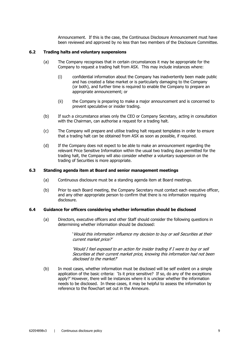Announcement. If this is the case, the Continuous Disclosure Announcement must have been reviewed and approved by no less than two members of the Disclosure Committee.

#### **6.2 Trading halts and voluntary suspensions**

- (a) The Company recognises that in certain circumstances it may be appropriate for the Company to request a trading halt from ASX. This may include instances where:
	- (i) confidential information about the Company has inadvertently been made public and has created a false market or is particularly damaging to the Company (or both), and further time is required to enable the Company to prepare an appropriate announcement; or
	- (ii) the Company is preparing to make a major announcement and is concerned to prevent speculative or insider trading.
- (b) If such a circumstance arises only the CEO or Company Secretary, acting in consultation with the Chairman, can authorise a request for a trading halt.
- (c) The Company will prepare and utilise trading halt request templates in order to ensure that a trading halt can be obtained from ASX as soon as possible, if required.
- (d) If the Company does not expect to be able to make an announcement regarding the relevant Price Sensitive Information within the usual two trading days permitted for the trading halt, the Company will also consider whether a voluntary suspension on the trading of Securities is more appropriate.

#### **6.3 Standing agenda item at Board and senior management meetings**

- (a) Continuous disclosure must be a standing agenda item at Board meetings.
- (b) Prior to each Board meeting, the Company Secretary must contact each executive officer, and any other appropriate person to confirm that there is no information requiring disclosure.

#### **6.4 Guidance for officers considering whether information should be disclosed**

(a) Directors, executive officers and other Staff should consider the following questions in determining whether information should be disclosed:

> 'Would this information influence my decision to buy or sell Securities at their current market price?'

'Would I feel exposed to an action for insider trading if I were to buy or sell Securities at their current market price, knowing this information had not been disclosed to the market?

(b) In most cases, whether information must be disclosed will be self evident on a simple application of the basic criteria: 'Is it price sensitive? If so, do any of the exceptions apply?' However, there will be instances where it is unclear whether the information needs to be disclosed. In these cases, it may be helpful to assess the information by reference to the flowchart set out in the Annexure.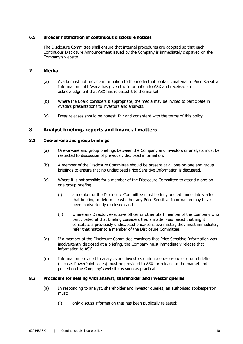#### **6.5 Broader notification of continuous disclosure notices**

The Disclosure Committee shall ensure that internal procedures are adopted so that each Continuous Disclosure Announcement issued by the Company is immediately displayed on the Company's website.

# **7 Media**

- (a) Avada must not provide information to the media that contains material or Price Sensitive Information until Avada has given the information to ASX and received an acknowledgment that ASX has released it to the market.
- (b) Where the Board considers it appropriate, the media may be invited to participate in Avada's presentations to investors and analysts.
- (c) Press releases should be honest, fair and consistent with the terms of this policy.

# **8 Analyst briefing, reports and financial matters**

#### **8.1 One-on-one and group briefings**

- (a) One-on-one and group briefings between the Company and investors or analysts must be restricted to discussion of previously disclosed information.
- (b) A member of the Disclosure Committee should be present at all one-on-one and group briefings to ensure that no undisclosed Price Sensitive Information is discussed.
- (c) Where it is not possible for a member of the Disclosure Committee to attend a one-onone group briefing:
	- (i) a member of the Disclosure Committee must be fully briefed immediately after that briefing to determine whether any Price Sensitive Information may have been inadvertently disclosed; and
	- (ii) where any Director, executive officer or other Staff member of the Company who participated at that briefing considers that a matter was raised that might constitute a previously undisclosed price-sensitive matter, they must immediately refer that matter to a member of the Disclosure Committee.
- (d) If a member of the Disclosure Committee considers that Price Sensitive Information was inadvertently disclosed at a briefing, the Company must immediately release that information to ASX.
- (e) Information provided to analysts and investors during a one-on-one or group briefing (such as PowerPoint slides) must be provided to ASX for release to the market and posted on the Company's website as soon as practical.

#### **8.2 Procedure for dealing with analyst, shareholder and investor queries**

- (a) In responding to analyst, shareholder and investor queries, an authorised spokesperson must:
	- (i) only discuss information that has been publically released;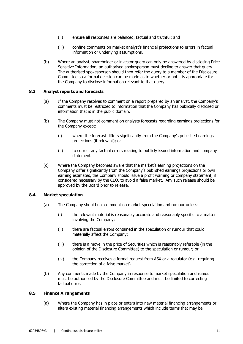- (ii) ensure all responses are balanced, factual and truthful; and
- (iii) confine comments on market analyst's financial projections to errors in factual information or underlying assumptions.
- (b) Where an analyst, shareholder or investor query can only be answered by disclosing Price Sensitive Information, an authorised spokesperson must decline to answer that query. The authorised spokesperson should then refer the query to a member of the Disclosure Committee so a formal decision can be made as to whether or not it is appropriate for the Company to disclose information relevant to that query.

#### **8.3 Analyst reports and forecasts**

- (a) If the Company resolves to comment on a report prepared by an analyst, the Company's comments must be restricted to information that the Company has publically disclosed or information that is in the public domain.
- (b) The Company must not comment on analysts forecasts regarding earnings projections for the Company except:
	- (i) where the forecast differs significantly from the Company's published earnings projections (if relevant); or
	- (ii) to correct any factual errors relating to publicly issued information and company statements.
- (c) Where the Company becomes aware that the market's earning projections on the Company differ significantly from the Company's published earnings projections or own earning estimates, the Company should issue a profit warning or company statement, if considered necessary by the CEO, to avoid a false market. Any such release should be approved by the Board prior to release.

#### **8.4 Market speculation**

- (a) The Company should not comment on market speculation and rumour unless:
	- (i) the relevant material is reasonably accurate and reasonably specific to a matter involving the Company;
	- (ii) there are factual errors contained in the speculation or rumour that could materially affect the Company;
	- (iii) there is a move in the price of Securities which is reasonably referable (in the opinion of the Disclosure Committee) to the speculation or rumour; or
	- (iv) the Company receives a formal request from ASX or a regulator (e.g. requiring the correction of a false market).
- (b) Any comments made by the Company in response to market speculation and rumour must be authorised by the Disclosure Committee and must be limited to correcting factual error.

#### **8.5 Finance Arrangements**

(a) Where the Company has in place or enters into new material financing arrangements or alters existing material financing arrangements which include terms that may be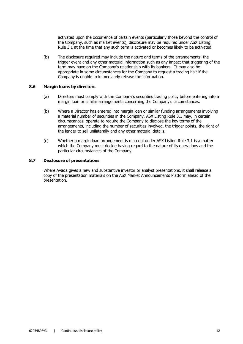activated upon the occurrence of certain events (particularly those beyond the control of the Company, such as market events), disclosure may be required under ASX Listing Rule 3.1 at the time that any such term is activated or becomes likely to be activated.

(b) The disclosure required may include the nature and terms of the arrangements, the trigger event and any other material information such as any impact that triggering of the term may have on the Company's relationship with its bankers. It may also be appropriate in some circumstances for the Company to request a trading halt if the Company is unable to immediately release the information.

#### **8.6 Margin loans by directors**

- (a) Directors must comply with the Company's securities trading policy before entering into a margin loan or similar arrangements concerning the Company's circumstances.
- (b) Where a Director has entered into margin loan or similar funding arrangements involving a material number of securities in the Company, ASX Listing Rule 3.1 may, in certain circumstances, operate to require the Company to disclose the key terms of the arrangements, including the number of securities involved, the trigger points, the right of the lender to sell unilaterally and any other material details.
- (c) Whether a margin loan arrangement is material under ASX Listing Rule 3.1 is a matter which the Company must decide having regard to the nature of its operations and the particular circumstances of the Company.

#### **8.7 Disclosure of presentations**

Where Avada gives a new and substantive investor or analyst presentations, it shall release a copy of the presentation materials on the ASX Market Announcements Platform ahead of the presentation.